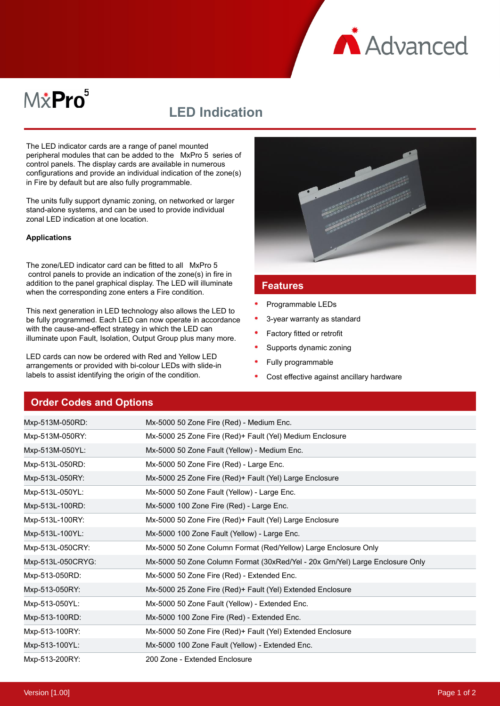**A** Advanced

# M*\**Pro<sup>5</sup>

## **LED Indication**

The LED indicator cards are a range of panel mounted peripheral modules that can be added to the MxPro 5 series of control panels. The display cards are available in numerous configurations and provide an individual indication of the zone(s) in Fire by default but are also fully programmable.

The units fully support dynamic zoning, on networked or larger stand-alone systems, and can be used to provide individual zonal LED indication at one location.

#### **Applications**

The zone/LED indicator card can be fitted to all MxPro 5 control panels to provide an indication of the zone(s) in fire in addition to the panel graphical display. The LED will illuminate when the corresponding zone enters a Fire condition.

This next generation in LED technology also allows the LED to be fully programmed. Each LED can now operate in accordance with the cause-and-effect strategy in which the LED can illuminate upon Fault, Isolation, Output Group plus many more.

LED cards can now be ordered with Red and Yellow LED arrangements or provided with bi-colour LEDs with slide-in labels to assist identifying the origin of the condition.



#### **Features**

- Programmable LEDs
- 3-year warranty as standard
- Factory fitted or retrofit
- Supports dynamic zoning
- Fully programmable
- Cost effective against ancillary hardware

### **Order Codes and Options**

| Mxp-513M-050RD:   | Mx-5000 50 Zone Fire (Red) - Medium Enc.                                      |
|-------------------|-------------------------------------------------------------------------------|
| Mxp-513M-050RY:   | Mx-5000 25 Zone Fire (Red)+ Fault (Yel) Medium Enclosure                      |
| Mxp-513M-050YL:   | Mx-5000 50 Zone Fault (Yellow) - Medium Enc.                                  |
| Mxp-513L-050RD:   | Mx-5000 50 Zone Fire (Red) - Large Enc.                                       |
| Mxp-513L-050RY:   | Mx-5000 25 Zone Fire (Red) + Fault (Yel) Large Enclosure                      |
| Mxp-513L-050YL:   | Mx-5000 50 Zone Fault (Yellow) - Large Enc.                                   |
| Mxp-513L-100RD:   | Mx-5000 100 Zone Fire (Red) - Large Enc.                                      |
| Mxp-513L-100RY:   | Mx-5000 50 Zone Fire (Red)+ Fault (Yel) Large Enclosure                       |
| Mxp-513L-100YL:   | Mx-5000 100 Zone Fault (Yellow) - Large Enc.                                  |
| Mxp-513L-050CRY:  | Mx-5000 50 Zone Column Format (Red/Yellow) Large Enclosure Only               |
| Mxp-513L-050CRYG: | Mx-5000 50 Zone Column Format (30xRed/Yel - 20x Grn/Yel) Large Enclosure Only |
| Mxp-513-050RD:    | Mx-5000 50 Zone Fire (Red) - Extended Enc.                                    |
| Mxp-513-050RY:    | Mx-5000 25 Zone Fire (Red)+ Fault (Yel) Extended Enclosure                    |
| Mxp-513-050YL:    | Mx-5000 50 Zone Fault (Yellow) - Extended Enc.                                |
| Mxp-513-100RD:    | Mx-5000 100 Zone Fire (Red) - Extended Enc.                                   |
| Mxp-513-100RY:    | Mx-5000 50 Zone Fire (Red)+ Fault (Yel) Extended Enclosure                    |
| Mxp-513-100YL:    | Mx-5000 100 Zone Fault (Yellow) - Extended Enc.                               |
| Mxp-513-200RY:    | 200 Zone - Extended Enclosure                                                 |